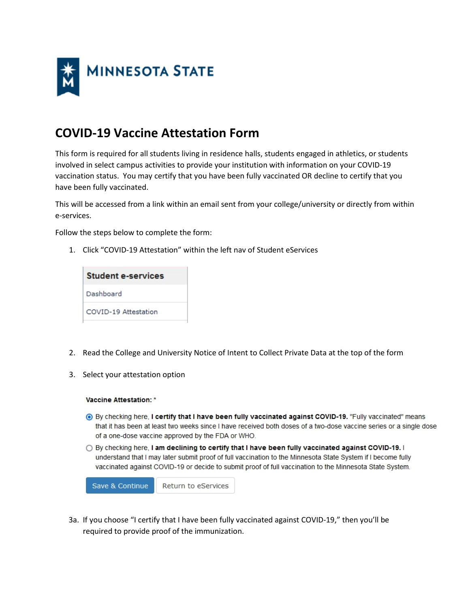

## **COVID-19 Vaccine Attestation Form**

This form is required for all students living in residence halls, students engaged in athletics, or students involved in select campus activities to provide your institution with information on your COVID-19 vaccination status. You may certify that you have been fully vaccinated OR decline to certify that you have been fully vaccinated.

This will be accessed from a link within an email sent from your college/university or directly from within e-services.

Follow the steps below to complete the form:

1. Click "COVID-19 Attestation" within the left nav of Student eServices

| <b>Student e-services</b> |  |
|---------------------------|--|
| Dashboard                 |  |
| COVID-19 Attestation      |  |

- 2. Read the College and University Notice of Intent to Collect Private Data at the top of the form
- 3. Select your attestation option

## Vaccine Attestation: \*

- 6 By checking here, I certify that I have been fully vaccinated against COVID-19. "Fully vaccinated" means that it has been at least two weeks since I have received both doses of a two-dose vaccine series or a single dose of a one-dose vaccine approved by the FDA or WHO.
- By checking here, I am declining to certify that I have been fully vaccinated against COVID-19. I understand that I may later submit proof of full vaccination to the Minnesota State System if I become fully vaccinated against COVID-19 or decide to submit proof of full vaccination to the Minnesota State System.

Save & Continue Return to eServices

3a. If you choose "I certify that I have been fully vaccinated against COVID-19," then you'll be required to provide proof of the immunization.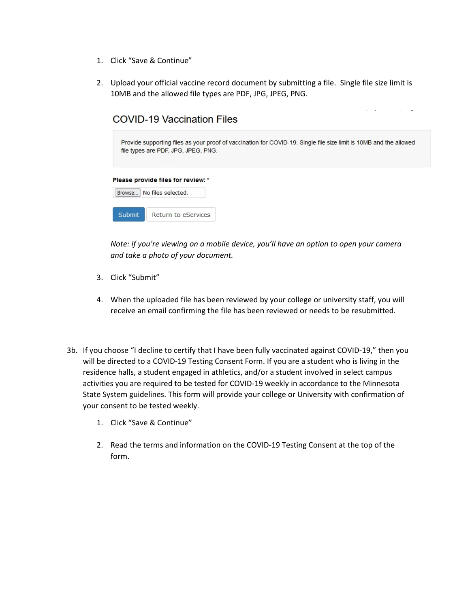- 1. Click "Save & Continue"
- 2. Upload your official vaccine record document by submitting a file. Single file size limit is 10MB and the allowed file types are PDF, JPG, JPEG, PNG.

|               | COVID-19 Vaccination Files                                                                                                                                |
|---------------|-----------------------------------------------------------------------------------------------------------------------------------------------------------|
|               | Provide supporting files as your proof of vaccination for COVID-19. Single file size limit is 10MB and the allowed<br>file types are PDF, JPG, JPEG, PNG. |
| Browse        | Please provide files for review: *<br>No files selected.                                                                                                  |
| <b>Submit</b> | Return to eServices                                                                                                                                       |

 $\omega = \omega$  .

 $\sim 100$  and  $\sim 100$ 

*Note: if you're viewing on a mobile device, you'll have an option to open your camera and take a photo of your document.*

- 3. Click "Submit"
- 4. When the uploaded file has been reviewed by your college or university staff, you will receive an email confirming the file has been reviewed or needs to be resubmitted.
- 3b. If you choose "I decline to certify that I have been fully vaccinated against COVID-19," then you will be directed to a COVID-19 Testing Consent Form. If you are a student who is living in the residence halls, a student engaged in athletics, and/or a student involved in select campus activities you are required to be tested for COVID-19 weekly in accordance to the Minnesota State System guidelines. This form will provide your college or University with confirmation of your consent to be tested weekly.
	- 1. Click "Save & Continue"
	- 2. Read the terms and information on the COVID-19 Testing Consent at the top of the form.